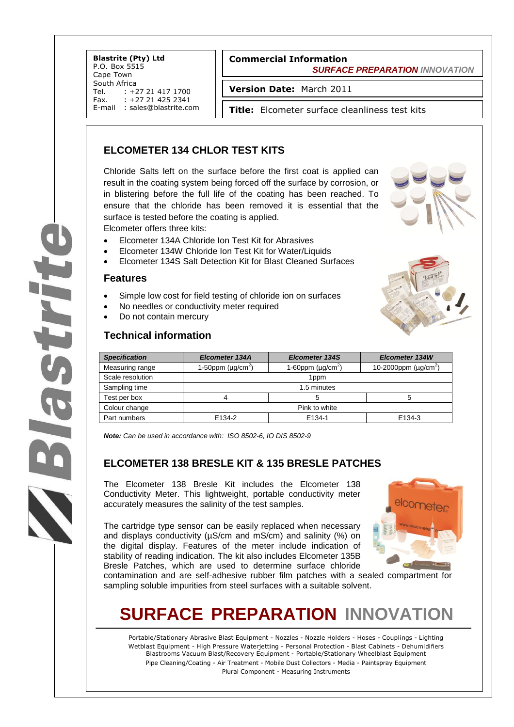**Blastrite (Pty) Ltd** P.O. Box 5515 Cape Town South Africa<br>Tel. : +2 Tel. : +27 21 417 1700<br>Fax. : +27 21 425 2341  $: +27214252341$ E-mail : sales@blastrite.com

#### **Commercial Information**  *SURFACE PREPARATION INNOVATION*

**Version Date:** March 2011

**Title:** Elcometer surface cleanliness test kits

## **ELCOMETER 134 CHLOR TEST KITS**

Chloride Salts left on the surface before the first coat is applied can result in the coating system being forced off the surface by corrosion, or in blistering before the full life of the coating has been reached. To ensure that the chloride has been removed it is essential that the surface is tested before the coating is applied.

Elcometer offers three kits:

- Elcometer 134A Chloride Ion Test Kit for Abrasives
- Elcometer 134W Chloride Ion Test Kit for Water/Liquids
- Elcometer 134S Salt Detection Kit for Blast Cleaned Surfaces

#### **Features**

- Simple low cost for field testing of chloride ion on surfaces
- No needles or conductivity meter required
- Do not contain mercury

#### **Technical information**



*Note: Can be used in accordance with: ISO 8502-6, IO DIS 8502-9*

## **ELCOMETER 138 BRESLE KIT & 135 BRESLE PATCHES**

The Elcometer 138 Bresle Kit includes the Elcometer 138 Conductivity Meter. This lightweight, portable conductivity meter accurately measures the salinity of the test samples.

The cartridge type sensor can be easily replaced when necessary and displays conductivity ( $\mu$ S/cm and mS/cm) and salinity (%) on the digital display. Features of the meter include indication of stability of reading indication. The kit also includes Elcometer 135B Bresle Patches, which are used to determine surface chloride



contamination and are self-adhesive rubber film patches with a sealed compartment for sampling soluble impurities from steel surfaces with a suitable solvent.

## **SURFACE PREPARATION INNOVATION**

Portable/Stationary Abrasive Blast Equipment - Nozzles - Nozzle Holders - Hoses - Couplings - Lighting Wetblast Equipment - High Pressure Waterjetting - Personal Protection - Blast Cabinets - Dehumidifiers Blastrooms Vacuum Blast/Recovery Equipment - Portable/Stationary Wheelblast Equipment Pipe Cleaning/Coating - Air Treatment - Mobile Dust Collectors - Media - Paintspray Equipment Plural Component - Measuring Instruments